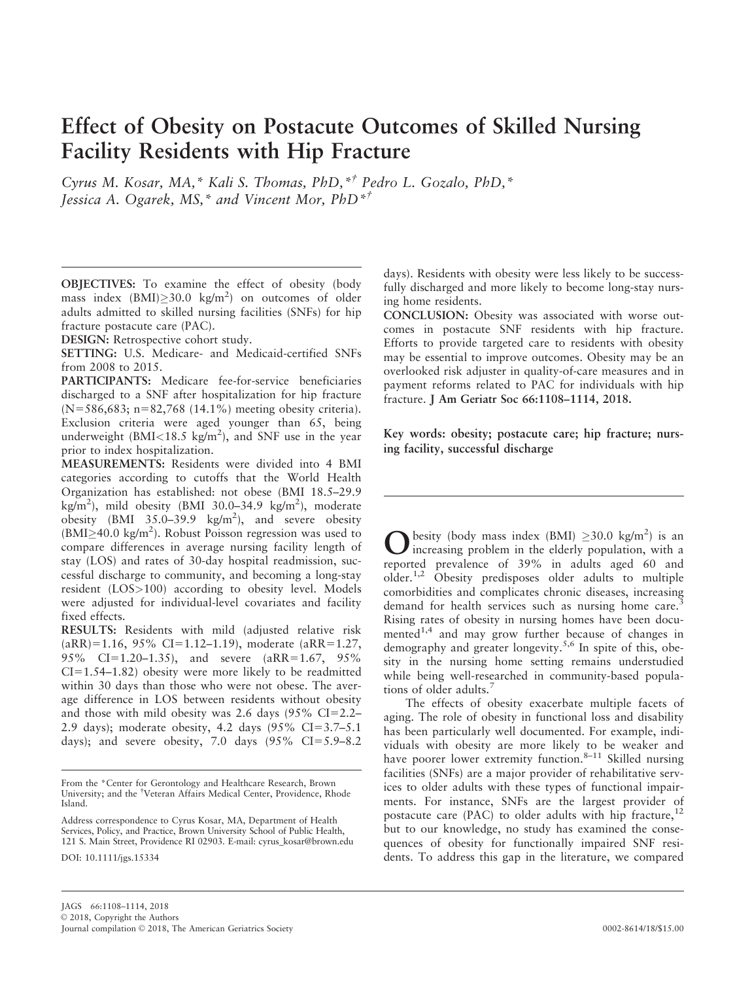# Effect of Obesity on Postacute Outcomes of Skilled Nursing Facility Residents with Hip Fracture

Cyrus M. Kosar, MA,\* Kali S. Thomas, PhD,\*† Pedro L. Gozalo, PhD,\* Jessica A. Ogarek, MS,\* and Vincent Mor, PhD\*†

OBJECTIVES: To examine the effect of obesity (body mass index  $(BMI) \geq 30.0$  kg/m<sup>2</sup>) on outcomes of older adults admitted to skilled nursing facilities (SNFs) for hip fracture postacute care (PAC).

DESIGN: Retrospective cohort study.

SETTING: U.S. Medicare- and Medicaid-certified SNFs from 2008 to 2015.

PARTICIPANTS: Medicare fee-for-service beneficiaries discharged to a SNF after hospitalization for hip fracture  $(N=586,683; n=82,768 (14.1%)$  meeting obesity criteria). Exclusion criteria were aged younger than 65, being underweight (BMI<18.5 kg/m<sup>2</sup>), and SNF use in the year prior to index hospitalization.

MEASUREMENTS: Residents were divided into 4 BMI categories according to cutoffs that the World Health Organization has established: not obese (BMI 18.5–29.9 kg/m<sup>2</sup>), mild obesity (BMI 30.0–34.9 kg/m<sup>2</sup>), moderate obesity (BMI  $35.0-39.9$  kg/m<sup>2</sup>), and severe obesity  $(BMI \ge 40.0 \text{ kg/m}^2)$ . Robust Poisson regression was used to compare differences in average nursing facility length of stay (LOS) and rates of 30-day hospital readmission, successful discharge to community, and becoming a long-stay resident (LOS>100) according to obesity level. Models were adjusted for individual-level covariates and facility fixed effects.

RESULTS: Residents with mild (adjusted relative risk  $(aRR)=1.16, 95\%$  CI=1.12–1.19), moderate  $(aRR=1.27,$ 95% CI=1.20–1.35), and severe  $(aRR=1.67, 95\%$  $CI=1.54-1.82$ ) obesity were more likely to be readmitted within 30 days than those who were not obese. The average difference in LOS between residents without obesity and those with mild obesity was 2.6 days (95% CI=2.2– 2.9 days); moderate obesity, 4.2 days  $(95\% \text{ CI} = 3.7 - 5.1)$ days); and severe obesity, 7.0 days  $(95\% \text{ CI} = 5.9 - 8.2)$ 

DOI: 10.1111/jgs.15334

days). Residents with obesity were less likely to be successfully discharged and more likely to become long-stay nursing home residents.

CONCLUSION: Obesity was associated with worse outcomes in postacute SNF residents with hip fracture. Efforts to provide targeted care to residents with obesity may be essential to improve outcomes. Obesity may be an overlooked risk adjuster in quality-of-care measures and in payment reforms related to PAC for individuals with hip fracture. J Am Geriatr Soc 66:1108–1114, 2018.

Key words: obesity; postacute care; hip fracture; nursing facility, successful discharge

**O** besity (body mass index (BMI)  $\geq$ 30.0 kg/m<sup>2</sup>) is an increasing problem in the elderly population, with a 30.0  $\text{kg/m}^2$ ) is an reported prevalence of 39% in adults aged 60 and older.1,2 Obesity predisposes older adults to multiple comorbidities and complicates chronic diseases, increasing demand for health services such as nursing home care.<sup>3</sup> Rising rates of obesity in nursing homes have been documented<sup>1,4</sup> and may grow further because of changes in demography and greater longevity.<sup>5,6</sup> In spite of this, obesity in the nursing home setting remains understudied while being well-researched in community-based populations of older adults.<sup>7</sup>

The effects of obesity exacerbate multiple facets of aging. The role of obesity in functional loss and disability has been particularly well documented. For example, individuals with obesity are more likely to be weaker and have poorer lower extremity function.<sup>8-11</sup> Skilled nursing facilities (SNFs) are a major provider of rehabilitative services to older adults with these types of functional impairments. For instance, SNFs are the largest provider of postacute care (PAC) to older adults with hip fracture,  $^{12}$ but to our knowledge, no study has examined the consequences of obesity for functionally impaired SNF residents. To address this gap in the literature, we compared

From the \*Center for Gerontology and Healthcare Research, Brown University; and the † Veteran Affairs Medical Center, Providence, Rhode Island.

Address correspondence to Cyrus Kosar, MA, Department of Health Services, Policy, and Practice, Brown University School of Public Health, 121 S. Main Street, Providence RI 02903. E-mail: cyrus\_kosar@brown.edu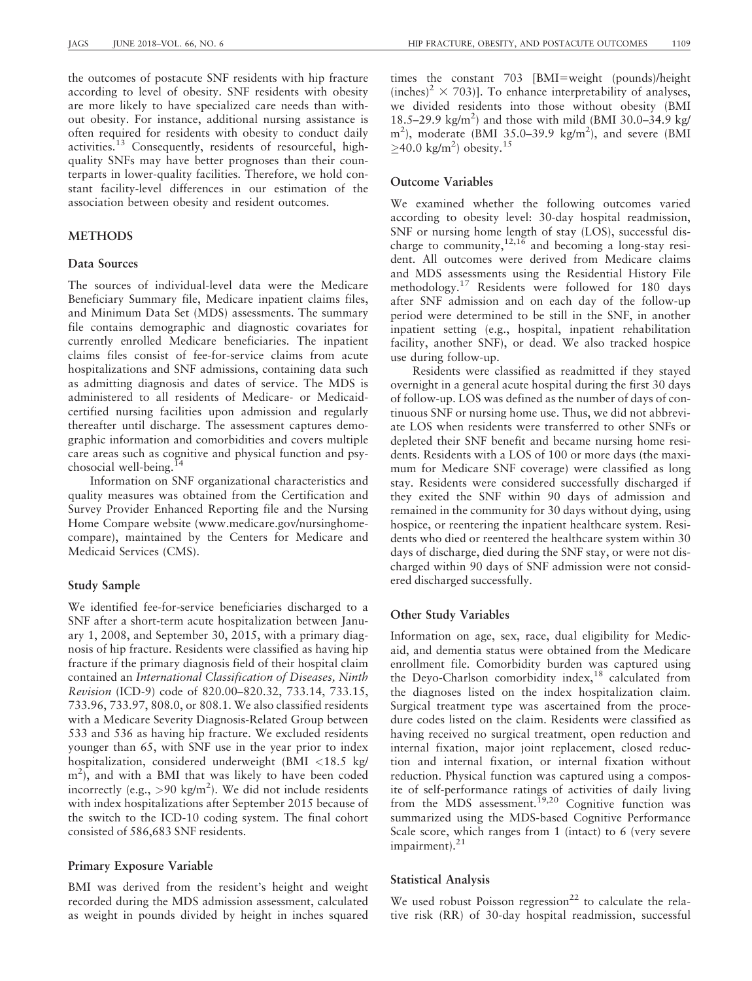the outcomes of postacute SNF residents with hip fracture according to level of obesity. SNF residents with obesity are more likely to have specialized care needs than without obesity. For instance, additional nursing assistance is often required for residents with obesity to conduct daily activities.<sup>13</sup> Consequently, residents of resourceful, highquality SNFs may have better prognoses than their counterparts in lower-quality facilities. Therefore, we hold constant facility-level differences in our estimation of the association between obesity and resident outcomes.

## **METHODS**

#### Data Sources

The sources of individual-level data were the Medicare Beneficiary Summary file, Medicare inpatient claims files, and Minimum Data Set (MDS) assessments. The summary file contains demographic and diagnostic covariates for currently enrolled Medicare beneficiaries. The inpatient claims files consist of fee-for-service claims from acute hospitalizations and SNF admissions, containing data such as admitting diagnosis and dates of service. The MDS is administered to all residents of Medicare- or Medicaidcertified nursing facilities upon admission and regularly thereafter until discharge. The assessment captures demographic information and comorbidities and covers multiple care areas such as cognitive and physical function and psychosocial well-being.<sup>14</sup>

Information on SNF organizational characteristics and quality measures was obtained from the Certification and Survey Provider Enhanced Reporting file and the Nursing Home Compare website [\(www.medicare.gov/nursinghome](http://www.medicare.gov/nursinghomecompare)[compare\)](http://www.medicare.gov/nursinghomecompare), maintained by the Centers for Medicare and Medicaid Services (CMS).

#### Study Sample

We identified fee-for-service beneficiaries discharged to a SNF after a short-term acute hospitalization between January 1, 2008, and September 30, 2015, with a primary diagnosis of hip fracture. Residents were classified as having hip fracture if the primary diagnosis field of their hospital claim contained an International Classification of Diseases, Ninth Revision (ICD-9) code of 820.00–820.32, 733.14, 733.15, 733.96, 733.97, 808.0, or 808.1. We also classified residents with a Medicare Severity Diagnosis-Related Group between 533 and 536 as having hip fracture. We excluded residents younger than 65, with SNF use in the year prior to index hospitalization, considered underweight (BMI <18.5 kg/ m<sup>2</sup>), and with a BMI that was likely to have been coded incorrectly (e.g.,  $> 90 \text{ kg/m}^2$ ). We did not include residents with index hospitalizations after September 2015 because of the switch to the ICD-10 coding system. The final cohort consisted of 586,683 SNF residents.

#### Primary Exposure Variable

BMI was derived from the resident's height and weight recorded during the MDS admission assessment, calculated as weight in pounds divided by height in inches squared

times the constant  $703$  [BMI=weight (pounds)/height (inches)<sup>2</sup>  $\times$  703)]. To enhance interpretability of analyses, we divided residents into those without obesity (BMI 18.5–29.9 kg/m<sup>2</sup>) and those with mild (BMI 30.0–34.9 kg/ m<sup>2</sup>), moderate (BMI 35.0-39.9 kg/m<sup>2</sup>), and severe (BMI  $\geq$ 40.0 kg/m<sup>2</sup>) obesity.<sup>15</sup>

## Outcome Variables

We examined whether the following outcomes varied according to obesity level: 30-day hospital readmission, SNF or nursing home length of stay (LOS), successful discharge to community,  $12,16$  and becoming a long-stay resident. All outcomes were derived from Medicare claims and MDS assessments using the Residential History File methodology.17 Residents were followed for 180 days after SNF admission and on each day of the follow-up period were determined to be still in the SNF, in another inpatient setting (e.g., hospital, inpatient rehabilitation facility, another SNF), or dead. We also tracked hospice use during follow-up.

Residents were classified as readmitted if they stayed overnight in a general acute hospital during the first 30 days of follow-up. LOS was defined as the number of days of continuous SNF or nursing home use. Thus, we did not abbreviate LOS when residents were transferred to other SNFs or depleted their SNF benefit and became nursing home residents. Residents with a LOS of 100 or more days (the maximum for Medicare SNF coverage) were classified as long stay. Residents were considered successfully discharged if they exited the SNF within 90 days of admission and remained in the community for 30 days without dying, using hospice, or reentering the inpatient healthcare system. Residents who died or reentered the healthcare system within 30 days of discharge, died during the SNF stay, or were not discharged within 90 days of SNF admission were not considered discharged successfully.

# Other Study Variables

Information on age, sex, race, dual eligibility for Medicaid, and dementia status were obtained from the Medicare enrollment file. Comorbidity burden was captured using the Deyo-Charlson comorbidity index,<sup>18</sup> calculated from the diagnoses listed on the index hospitalization claim. Surgical treatment type was ascertained from the procedure codes listed on the claim. Residents were classified as having received no surgical treatment, open reduction and internal fixation, major joint replacement, closed reduction and internal fixation, or internal fixation without reduction. Physical function was captured using a composite of self-performance ratings of activities of daily living from the MDS assessment.<sup>19,20</sup> Cognitive function was summarized using the MDS-based Cognitive Performance Scale score, which ranges from 1 (intact) to 6 (very severe impairment).<sup>21</sup>

## Statistical Analysis

We used robust Poisson regression<sup>22</sup> to calculate the relative risk (RR) of 30-day hospital readmission, successful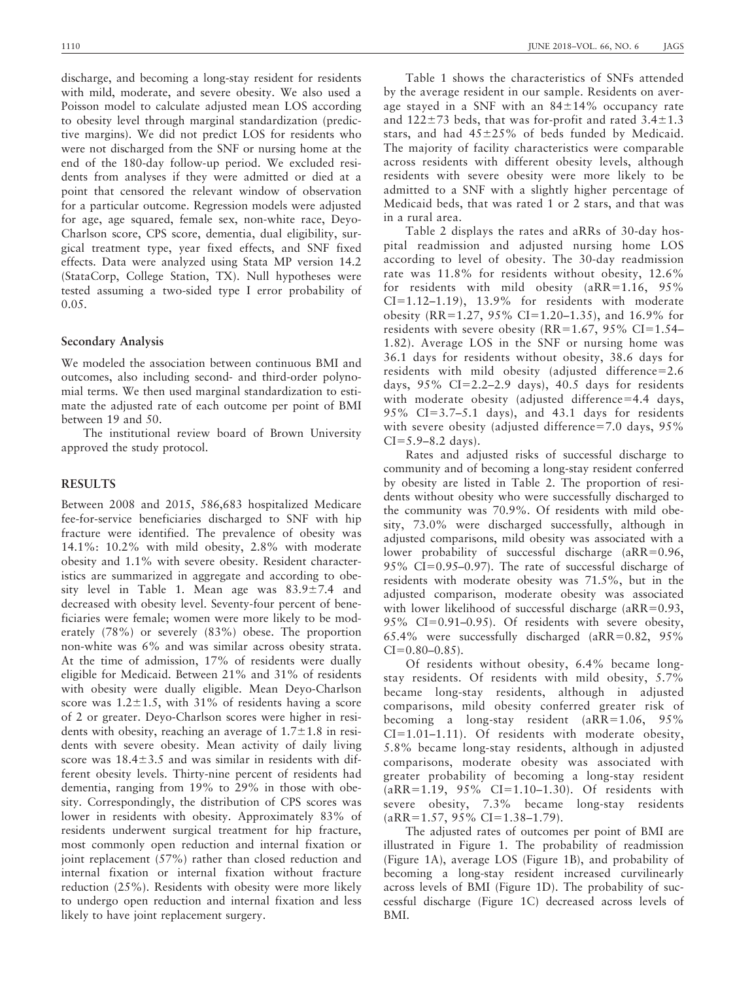discharge, and becoming a long-stay resident for residents with mild, moderate, and severe obesity. We also used a Poisson model to calculate adjusted mean LOS according to obesity level through marginal standardization (predictive margins). We did not predict LOS for residents who were not discharged from the SNF or nursing home at the end of the 180-day follow-up period. We excluded residents from analyses if they were admitted or died at a point that censored the relevant window of observation for a particular outcome. Regression models were adjusted for age, age squared, female sex, non-white race, Deyo-Charlson score, CPS score, dementia, dual eligibility, surgical treatment type, year fixed effects, and SNF fixed effects. Data were analyzed using Stata MP version 14.2 (StataCorp, College Station, TX). Null hypotheses were tested assuming a two-sided type I error probability of 0.05.

## Secondary Analysis

We modeled the association between continuous BMI and outcomes, also including second- and third-order polynomial terms. We then used marginal standardization to estimate the adjusted rate of each outcome per point of BMI between 19 and 50.

The institutional review board of Brown University approved the study protocol.

# **RESULTS**

Between 2008 and 2015, 586,683 hospitalized Medicare fee-for-service beneficiaries discharged to SNF with hip fracture were identified. The prevalence of obesity was 14.1%: 10.2% with mild obesity, 2.8% with moderate obesity and 1.1% with severe obesity. Resident characteristics are summarized in aggregate and according to obesity level in Table 1. Mean age was  $83.9 \pm 7.4$  and decreased with obesity level. Seventy-four percent of beneficiaries were female; women were more likely to be moderately (78%) or severely (83%) obese. The proportion non-white was 6% and was similar across obesity strata. At the time of admission, 17% of residents were dually eligible for Medicaid. Between 21% and 31% of residents with obesity were dually eligible. Mean Deyo-Charlson score was  $1.2 \pm 1.5$ , with 31% of residents having a score of 2 or greater. Deyo-Charlson scores were higher in residents with obesity, reaching an average of  $1.7\pm1.8$  in residents with severe obesity. Mean activity of daily living score was  $18.4 \pm 3.5$  and was similar in residents with different obesity levels. Thirty-nine percent of residents had dementia, ranging from 19% to 29% in those with obesity. Correspondingly, the distribution of CPS scores was lower in residents with obesity. Approximately 83% of residents underwent surgical treatment for hip fracture, most commonly open reduction and internal fixation or joint replacement (57%) rather than closed reduction and internal fixation or internal fixation without fracture reduction (25%). Residents with obesity were more likely to undergo open reduction and internal fixation and less likely to have joint replacement surgery.

Table 1 shows the characteristics of SNFs attended by the average resident in our sample. Residents on average stayed in a SNF with an  $84\pm14\%$  occupancy rate and  $122\pm73$  beds, that was for-profit and rated  $3.4\pm1.3$ stars, and had  $45\pm25\%$  of beds funded by Medicaid. The majority of facility characteristics were comparable across residents with different obesity levels, although residents with severe obesity were more likely to be admitted to a SNF with a slightly higher percentage of Medicaid beds, that was rated 1 or 2 stars, and that was in a rural area.

Table 2 displays the rates and aRRs of 30-day hospital readmission and adjusted nursing home LOS according to level of obesity. The 30-day readmission rate was 11.8% for residents without obesity, 12.6% for residents with mild obesity  $(aRR=1.16, 95\%)$  $CI=1.12-1.19$ , 13.9% for residents with moderate obesity (RR=1.27, 95% CI=1.20–1.35), and 16.9% for residents with severe obesity (RR=1.67, 95% CI=1.54– 1.82). Average LOS in the SNF or nursing home was 36.1 days for residents without obesity, 38.6 days for residents with mild obesity (adjusted difference= $2.6$ days,  $95\%$  CI=2.2–2.9 days),  $40.5$  days for residents with moderate obesity (adjusted difference=4.4 days, 95% CI=3.7–5.1 days), and 43.1 days for residents with severe obesity (adjusted difference=7.0 days,  $95\%$  $CI = 5.9 - 8.2$  days).

Rates and adjusted risks of successful discharge to community and of becoming a long-stay resident conferred by obesity are listed in Table 2. The proportion of residents without obesity who were successfully discharged to the community was 70.9%. Of residents with mild obesity, 73.0% were discharged successfully, although in adjusted comparisons, mild obesity was associated with a lower probability of successful discharge  $(aRR=0.96,$ 95% CI=0.95–0.97). The rate of successful discharge of residents with moderate obesity was 71.5%, but in the adjusted comparison, moderate obesity was associated with lower likelihood of successful discharge  $(aRR=0.93,$ 95% CI=0.91-0.95). Of residents with severe obesity, 65.4% were successfully discharged  $(aRR=0.82, 95\%)$  $CI = 0.80 - 0.85$ .

Of residents without obesity, 6.4% became longstay residents. Of residents with mild obesity, 5.7% became long-stay residents, although in adjusted comparisons, mild obesity conferred greater risk of becoming a long-stay resident  $(aRR=1.06, 95\%)$  $CI=1.01-1.11$ ). Of residents with moderate obesity, 5.8% became long-stay residents, although in adjusted comparisons, moderate obesity was associated with greater probability of becoming a long-stay resident  $(aRR=1.19, 95\% \text{ CI}=1.10-1.30)$ . Of residents with severe obesity, 7.3% became long-stay residents  $(aRR=1.57, 95\% CI=1.38-1.79).$ 

The adjusted rates of outcomes per point of BMI are illustrated in Figure 1. The probability of readmission (Figure 1A), average LOS (Figure 1B), and probability of becoming a long-stay resident increased curvilinearly across levels of BMI (Figure 1D). The probability of successful discharge (Figure 1C) decreased across levels of BMI.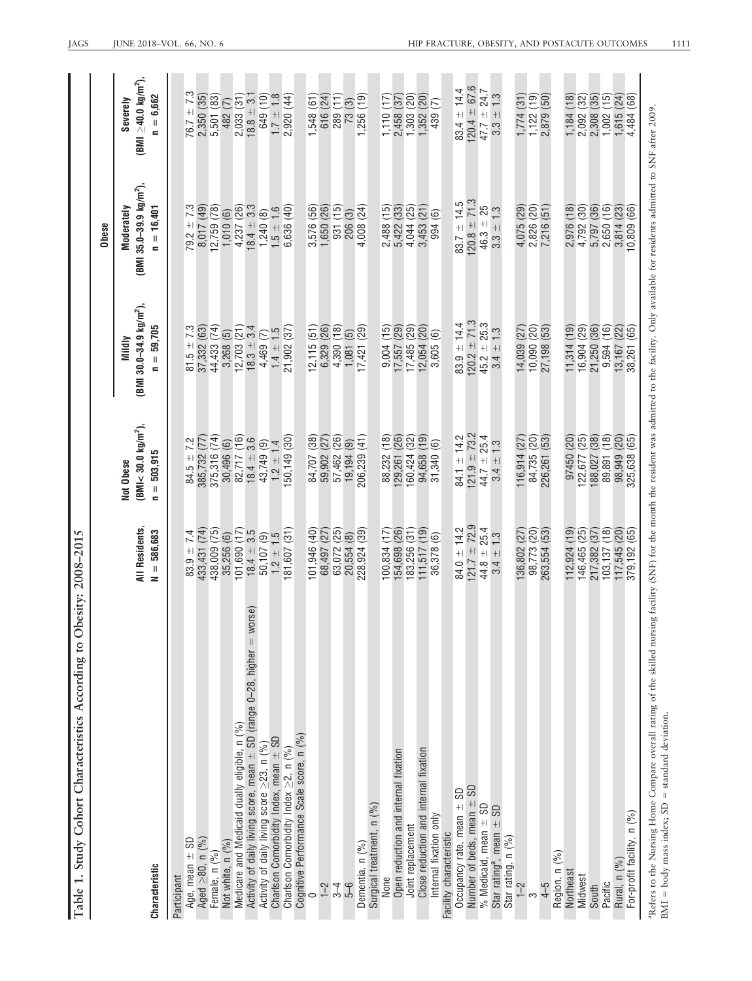| Table 1. Study Cohort Characteristics According to Ob                         | esity: 2008-2015                         |                                                              |                                                         |                                                         |                                                             |
|-------------------------------------------------------------------------------|------------------------------------------|--------------------------------------------------------------|---------------------------------------------------------|---------------------------------------------------------|-------------------------------------------------------------|
|                                                                               |                                          |                                                              |                                                         | Obese                                                   |                                                             |
| Characteristic                                                                | <b>All Residents</b><br>$= 586,683$<br>z | $(BMI < 30.0 \text{ kg/m}^2),$<br>$n = 503.915$<br>Not Obese | $(BM1 30.0 - 34.9 kg/m2).$<br>$= 59,705$<br>Mildly<br>E | $(BM1 35.0 - 39.9 kg/m2)$<br>$n = 16,401$<br>Moderately | $(BMI \geq 40.0 \text{ kg/m}^2)$<br>$n = 6,662$<br>Severely |
| Participant                                                                   |                                          |                                                              |                                                         |                                                         |                                                             |
| Age, mean $\pm$ SD                                                            | 7.4<br>$83.9 +$                          | $84.5 \pm 7.2$                                               | 7.3<br>$81.5 +$                                         | 7.3<br>$79.2 +$                                         | $76.7 \pm 7.3$                                              |
| Aged $\geq$ 80, n (%)                                                         | 433,431 (74)                             | 385,732 (77)                                                 | 37,332 (63)                                             | 8,017 (49)                                              |                                                             |
| Female, n (%)                                                                 | 438,009 (75)                             | 375,316 (74)                                                 | 44,433 (74)                                             |                                                         | $2,350(35)$<br>$5,501(83)$                                  |
| Not white, n (%)                                                              | 35,256 (6)                               | 30,496 (6)                                                   | 3,268 (5)                                               | $12,759$ $(78)$<br>$1,010$ $(6)$                        | 482 (7)                                                     |
| Medicare and Medicaid dually eligible, n (%)                                  | 101,690(17)                              | 82,717 (16)                                                  | 12,703(21)                                              | 4,237 (26)                                              | 2,033 (31)                                                  |
| 9S<br>Activity of daily living score, mean $\pm$ SD (range 0-28, higher = wor | 3.5<br>$18.4 +$                          | $18.4 = 3.6$                                                 | $18.3 + 3.4$                                            | $3.\overline{3}$<br>$18.4 +$                            | $18.8 \pm 3.1$                                              |
| Activity of daily living score $\geq$ 23, n (%)                               | 50,107 (9)                               | 43,749 (9)                                                   | 4,469 (7)                                               | 1,240 (8)                                               | 649 (10)                                                    |
| Charlson Comorbidity Index, mean $\pm$ SD                                     | $1.2 \pm 1.5$                            | $1.2 \pm 1.4$                                                |                                                         | 1.6<br>$-1.5 +$                                         | $1.7 \pm 1.8$                                               |
| Charlson Comorbidity Index $\geq$ 2, n (%)                                    | (31)<br>181,607                          | 50,149 (30)                                                  | $1.4 \pm 1.5$<br>21,902 (37)<br>21,902                  | (40)<br>6.636                                           | 2,920 (44)                                                  |
| Cognitive Performance Scale score, n (%)                                      |                                          |                                                              |                                                         |                                                         |                                                             |
| $\circ$                                                                       | $\overline{40}$<br>101,946               | (38)<br>84,707                                               | $\overline{51}$<br>12, 115                              | (56)<br>3,576                                           | 548<br>÷                                                    |
| $1 - 2$                                                                       | (27)<br>68,497                           | (27)<br>59,902                                               | 6,329 (26)                                              | $(26)$<br>$(15)$<br>1,650                               | 616                                                         |
| $3-4$                                                                         | (25)<br>63,072                           | (26)<br>57,462                                               | $\overline{18}$<br>4,390                                | 931                                                     | 289                                                         |
| $5-6$                                                                         | $\circledR$<br>20,554                    | $\left( \begin{matrix} 9 \end{matrix} \right)$<br>19,194     | 1,081                                                   | $\widehat{c}$<br>206                                    | 73                                                          |
| Dementia, n (%)                                                               | (39)<br>228,924                          | $\left 4\right $<br>206.239                                  | $\frac{(5)}{(29)}$<br>17.421                            | (24)<br>4,008                                           | $-3250$<br>1,256                                            |
| Surgical treatment, n (%)                                                     |                                          |                                                              |                                                         |                                                         |                                                             |
| None                                                                          | (17)<br>100,834                          | (18)<br>88,232                                               | (15)<br>9,004                                           | (15)                                                    | ίŊ<br>1,110                                                 |
| Open reduction and internal fixation                                          | (26)<br>154,698                          | (29,261 (26)                                                 | 17,557 (29)<br>17,485 (29)                              | $(33)$<br>$(25)$<br>2,488<br>5,422                      | (37)<br>2,458                                               |
| Joint replacement                                                             | (31)<br>183,256                          | 60,424 (32)                                                  |                                                         | 4,044                                                   | 1,303                                                       |
| Close reduction and internal fixation                                         | (19)<br>111,517                          | 94,658 (19)<br>31,340 (6)                                    | (20)<br>12,054                                          | $\left(\frac{21}{6}\right)$<br>3,453                    | $\widetilde{225}$<br>1,352                                  |
| Internal fixation only                                                        | $\widehat{6}$<br>36,378                  |                                                              | 3,605                                                   | 994                                                     | 439                                                         |
| Facility characteristic                                                       |                                          |                                                              |                                                         |                                                         |                                                             |
| Occupancy rate, mean $\pm$ SD                                                 | $84.0 \pm 14.2$                          | 84.1 $\pm$ 14.2                                              | $83.9 \pm 14.4$                                         | $83.7 \pm 14.5$                                         | $83.4 \pm 14.4$                                             |
| Number of beds, mean $\pm$ SD                                                 | $121.7 \pm 72.9$<br>44.8 ± 25.4          | $121.9 \pm 73.2$<br>44.7 ± 25.4                              | $120.2 \pm 71.3$<br>45.2 ± 25.3                         | $120.8 \pm 71.3$                                        | $120.4 \pm 67.6$<br>$47.7 \pm 24.7$                         |
| % Medicaid, mean $\pm$ SD                                                     |                                          | $= 25.4$                                                     |                                                         | $46.3 \pm 25$                                           |                                                             |
| Star rating <sup>a</sup> , mean $\pm$ SD                                      | 1.3<br>$3.4 \pm$                         | ± 1.3<br>3.4                                                 | $3.4 \pm 1.3$                                           | $3.3 \pm 1.3$                                           | 1.3<br>$+1$<br>3.3                                          |
| Star rating, n (%)                                                            |                                          |                                                              |                                                         |                                                         |                                                             |
| $1 - 2$                                                                       | (27)<br>136,802                          | 116,914 (27)                                                 | 14,039(27)                                              |                                                         |                                                             |
| S                                                                             | (20)<br>98,773                           | 84,735 (20)                                                  | 10,090 (20)                                             | 4,075 (29)<br>2,826 (20)<br>7,216 (51)                  | $\frac{1,774}{1,122}$ $\frac{(31)}{(19)}$<br>$2,879$ $(50)$ |
| $4-5$                                                                         | (53)<br>263,554                          | (53)<br>226,261                                              | 27,198 (53)                                             |                                                         |                                                             |
| Region, n (%)                                                                 |                                          |                                                              |                                                         |                                                         |                                                             |
| Northeast                                                                     | (19)<br>112,924                          | 97450 (20)                                                   | 11,314(19)                                              | 2,976 (18)                                              | (18)                                                        |
| Midwest                                                                       | (25)<br>146,465                          | (25)<br>122,677                                              | (29)<br>16,904                                          | (30)<br>4,792                                           | (32)<br>$\frac{1,184}{2,092}$<br>2,092<br>1,002             |
| South                                                                         | (37)<br>217,382                          | 188,027 (38)                                                 | (36)<br>21,250                                          | $(36)$<br>$(16)$                                        |                                                             |
| Pacific                                                                       | $\binom{8}{1}$                           | (18)<br>89,891                                               | (16)<br>9,594                                           | 5,797<br>2,650                                          | $(35)$<br>$(15)$<br>$(24)$                                  |
| Rural, $n(%)$                                                                 | (20)<br>117,545                          | 98,949 (20)                                                  | (22)<br>13,167                                          | (23)<br>3,814                                           | 1,615                                                       |
| For-profit facility, n (%)                                                    | (65)<br>379,192                          | (65)<br>325,638                                              | 65<br>38,261                                            | (66)<br>10.809                                          | (68)<br>4.484                                               |
| - 155<br>t d<br>an . C.                                                       |                                          |                                                              |                                                         |                                                         |                                                             |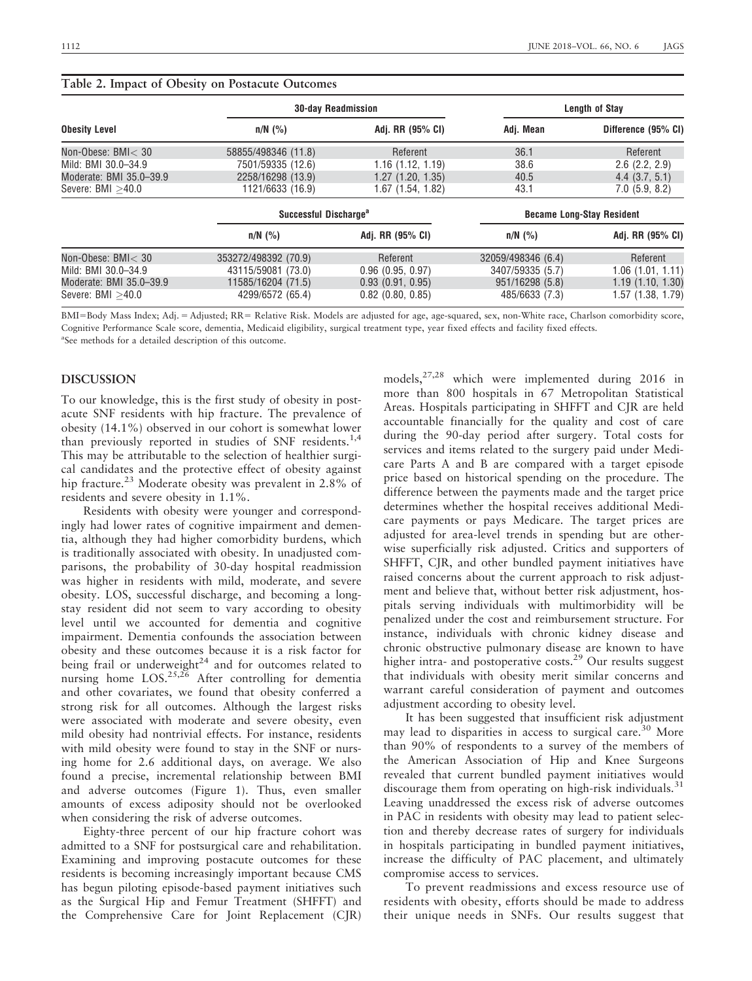|                         | <b>30-day Readmission</b>         |                       | <b>Length of Stay</b>            |                     |
|-------------------------|-----------------------------------|-----------------------|----------------------------------|---------------------|
| <b>Obesity Level</b>    | $n/N$ (%)                         | Adj. RR (95% CI)      | Adj. Mean                        | Difference (95% CI) |
| Non-Obese: BMI< 30      | 58855/498346 (11.8)               | Referent              | 36.1                             | Referent            |
| Mild: BMI 30.0-34.9     | 7501/59335 (12.6)                 | 1.16(1.12, 1.19)      | 38.6                             | $2.6$ $(2.2, 2.9)$  |
| Moderate: BMI 35.0-39.9 | 2258/16298 (13.9)                 | $1.27$ $(1.20, 1.35)$ | 40.5                             | $4.4$ $(3.7, 5.1)$  |
| Severe: $BMI > 40.0$    | 1121/6633 (16.9)                  | 1.67 (1.54, 1.82)     | 43.1                             | $7.0$ $(5.9, 8.2)$  |
|                         | Successful Discharge <sup>a</sup> |                       | <b>Became Long-Stay Resident</b> |                     |
|                         | $n/N$ (%)                         | Adj. RR (95% CI)      | $n/N$ (%)                        | Adj. RR (95% CI)    |
| Non-Obese: $BMI < 30$   | 353272/498392 (70.9)              | Referent              | 32059/498346 (6.4)               | Referent            |
| Mild: BMI 30.0-34.9     | 43115/59081 (73.0)                | 0.96(0.95, 0.97)      | 3407/59335 (5.7)                 | 1.06(1.01, 1.11)    |
| Moderate: BMI 35.0-39.9 | 11585/16204 (71.5)                | $0.93$ $(0.91, 0.95)$ | 951/16298 (5.8)                  | 1.19(1.10, 1.30)    |
| Severe: $BMI > 40.0$    | 4299/6572 (65.4)                  | $0.82$ (0.80, 0.85)   | 485/6633 (7.3)                   | 1.57 (1.38, 1.79)   |

Table 2. Impact of Obesity on Postacute Outcomes

BMI=Body Mass Index; Adj. = Adjusted; RR= Relative Risk. Models are adjusted for age, age-squared, sex, non-White race, Charlson comorbidity score, Cognitive Performance Scale score, dementia, Medicaid eligibility, surgical treatment type, year fixed effects and facility fixed effects. a See methods for a detailed description of this outcome.

#### DISCUSSION

To our knowledge, this is the first study of obesity in postacute SNF residents with hip fracture. The prevalence of obesity (14.1%) observed in our cohort is somewhat lower than previously reported in studies of SNF residents.<sup>1,4</sup> This may be attributable to the selection of healthier surgical candidates and the protective effect of obesity against hip fracture.<sup>23</sup> Moderate obesity was prevalent in 2.8% of residents and severe obesity in 1.1%.

Residents with obesity were younger and correspondingly had lower rates of cognitive impairment and dementia, although they had higher comorbidity burdens, which is traditionally associated with obesity. In unadjusted comparisons, the probability of 30-day hospital readmission was higher in residents with mild, moderate, and severe obesity. LOS, successful discharge, and becoming a longstay resident did not seem to vary according to obesity level until we accounted for dementia and cognitive impairment. Dementia confounds the association between obesity and these outcomes because it is a risk factor for being frail or underweight $24$  and for outcomes related to nursing home  $LOS^{25,26}$  After controlling for dementia and other covariates, we found that obesity conferred a strong risk for all outcomes. Although the largest risks were associated with moderate and severe obesity, even mild obesity had nontrivial effects. For instance, residents with mild obesity were found to stay in the SNF or nursing home for 2.6 additional days, on average. We also found a precise, incremental relationship between BMI and adverse outcomes (Figure 1). Thus, even smaller amounts of excess adiposity should not be overlooked when considering the risk of adverse outcomes.

Eighty-three percent of our hip fracture cohort was admitted to a SNF for postsurgical care and rehabilitation. Examining and improving postacute outcomes for these residents is becoming increasingly important because CMS has begun piloting episode-based payment initiatives such as the Surgical Hip and Femur Treatment (SHFFT) and the Comprehensive Care for Joint Replacement (CJR)

models,27,28 which were implemented during 2016 in more than 800 hospitals in 67 Metropolitan Statistical Areas. Hospitals participating in SHFFT and CJR are held accountable financially for the quality and cost of care during the 90-day period after surgery. Total costs for services and items related to the surgery paid under Medicare Parts A and B are compared with a target episode price based on historical spending on the procedure. The difference between the payments made and the target price determines whether the hospital receives additional Medicare payments or pays Medicare. The target prices are adjusted for area-level trends in spending but are otherwise superficially risk adjusted. Critics and supporters of SHFFT, CJR, and other bundled payment initiatives have raised concerns about the current approach to risk adjustment and believe that, without better risk adjustment, hospitals serving individuals with multimorbidity will be penalized under the cost and reimbursement structure. For instance, individuals with chronic kidney disease and chronic obstructive pulmonary disease are known to have higher intra- and postoperative costs.<sup>29</sup> Our results suggest that individuals with obesity merit similar concerns and warrant careful consideration of payment and outcomes adjustment according to obesity level.

It has been suggested that insufficient risk adjustment may lead to disparities in access to surgical care.<sup>30</sup> More than 90% of respondents to a survey of the members of the American Association of Hip and Knee Surgeons revealed that current bundled payment initiatives would discourage them from operating on high-risk individuals. $31$ Leaving unaddressed the excess risk of adverse outcomes in PAC in residents with obesity may lead to patient selection and thereby decrease rates of surgery for individuals in hospitals participating in bundled payment initiatives, increase the difficulty of PAC placement, and ultimately compromise access to services.

To prevent readmissions and excess resource use of residents with obesity, efforts should be made to address their unique needs in SNFs. Our results suggest that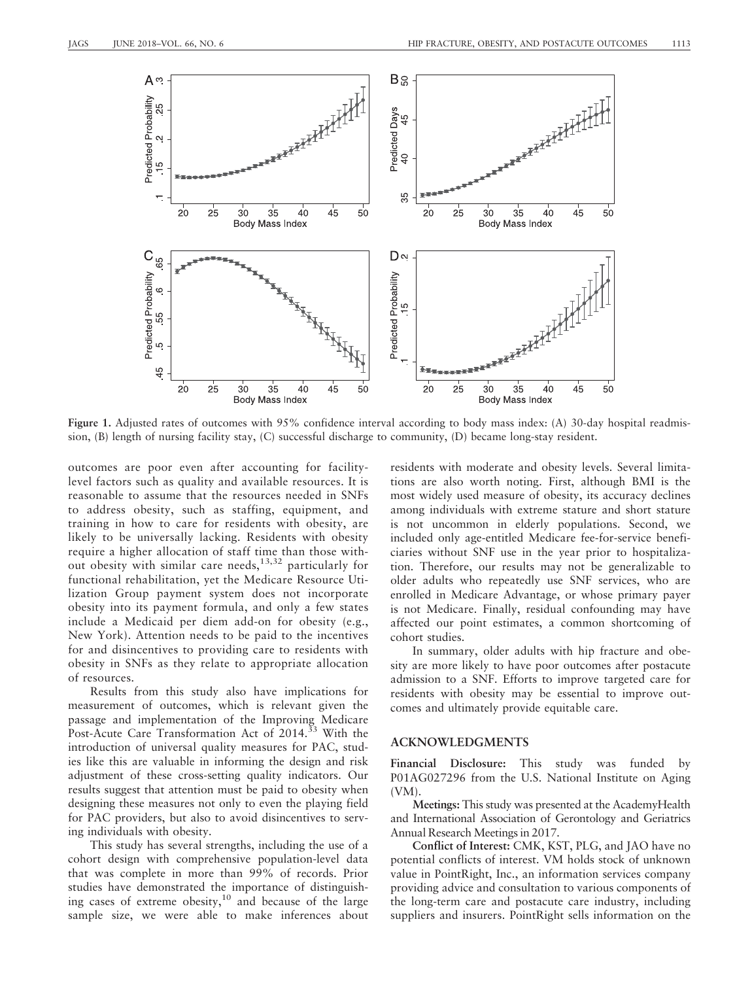

Figure 1. Adjusted rates of outcomes with 95% confidence interval according to body mass index: (A) 30-day hospital readmission, (B) length of nursing facility stay, (C) successful discharge to community, (D) became long-stay resident.

outcomes are poor even after accounting for facilitylevel factors such as quality and available resources. It is reasonable to assume that the resources needed in SNFs to address obesity, such as staffing, equipment, and training in how to care for residents with obesity, are likely to be universally lacking. Residents with obesity require a higher allocation of staff time than those without obesity with similar care needs,<sup>13,32</sup> particularly for functional rehabilitation, yet the Medicare Resource Utilization Group payment system does not incorporate obesity into its payment formula, and only a few states include a Medicaid per diem add-on for obesity (e.g., New York). Attention needs to be paid to the incentives for and disincentives to providing care to residents with obesity in SNFs as they relate to appropriate allocation of resources.

Results from this study also have implications for measurement of outcomes, which is relevant given the passage and implementation of the Improving Medicare Post-Acute Care Transformation Act of 2014.<sup>33</sup> With the introduction of universal quality measures for PAC, studies like this are valuable in informing the design and risk adjustment of these cross-setting quality indicators. Our results suggest that attention must be paid to obesity when designing these measures not only to even the playing field for PAC providers, but also to avoid disincentives to serving individuals with obesity.

This study has several strengths, including the use of a cohort design with comprehensive population-level data that was complete in more than 99% of records. Prior studies have demonstrated the importance of distinguishing cases of extreme obesity,<sup>10</sup> and because of the large sample size, we were able to make inferences about residents with moderate and obesity levels. Several limitations are also worth noting. First, although BMI is the most widely used measure of obesity, its accuracy declines among individuals with extreme stature and short stature is not uncommon in elderly populations. Second, we included only age-entitled Medicare fee-for-service beneficiaries without SNF use in the year prior to hospitalization. Therefore, our results may not be generalizable to older adults who repeatedly use SNF services, who are enrolled in Medicare Advantage, or whose primary payer is not Medicare. Finally, residual confounding may have affected our point estimates, a common shortcoming of cohort studies.

In summary, older adults with hip fracture and obesity are more likely to have poor outcomes after postacute admission to a SNF. Efforts to improve targeted care for residents with obesity may be essential to improve outcomes and ultimately provide equitable care.

## ACKNOWLEDGMENTS

Financial Disclosure: This study was funded by P01AG027296 from the U.S. National Institute on Aging (VM).

Meetings: This study was presented at the AcademyHealth and International Association of Gerontology and Geriatrics Annual Research Meetings in 2017.

Conflict of Interest: CMK, KST, PLG, and JAO have no potential conflicts of interest. VM holds stock of unknown value in PointRight, Inc., an information services company providing advice and consultation to various components of the long-term care and postacute care industry, including suppliers and insurers. PointRight sells information on the